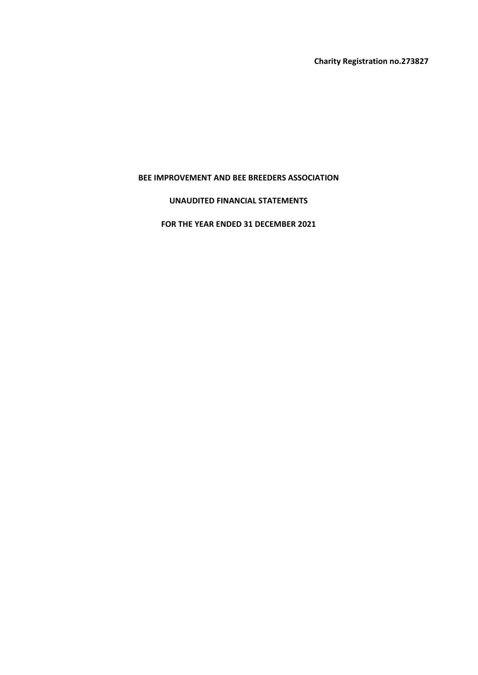Charity Registration no.273827

### BEE IMPROVEMENT AND BEE BREEDERS ASSOCIATION

### UNAUDITED FINANCIAL STATEMENTS

### FOR THE YEAR ENDED 31 DECEMBER 2021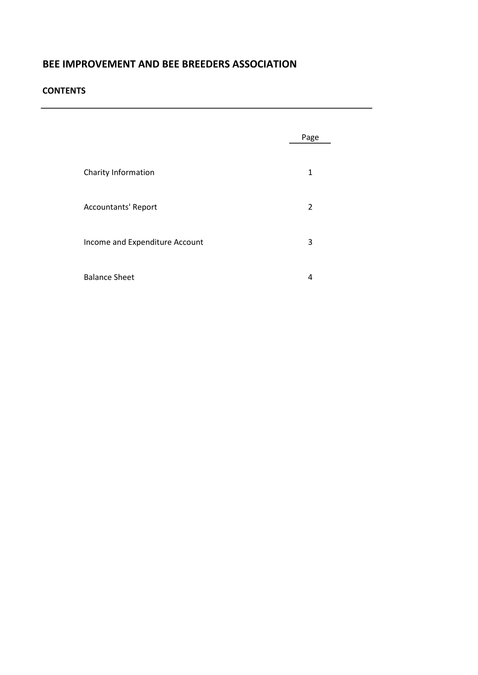#### **CONTENTS**

|                                | Page           |  |
|--------------------------------|----------------|--|
| Charity Information            | 1              |  |
| <b>Accountants' Report</b>     | $\overline{2}$ |  |
| Income and Expenditure Account | 3              |  |
| <b>Balance Sheet</b>           | 4              |  |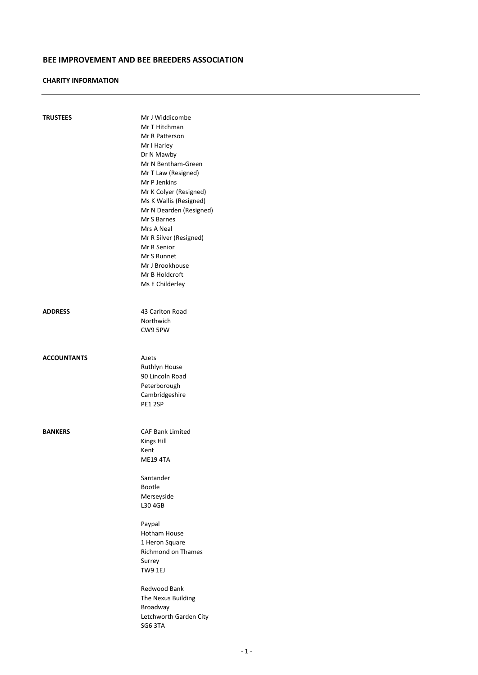#### CHARITY INFORMATION

| <b>TRUSTEES</b>    | Mr J Widdicombe<br>Mr T Hitchman<br>Mr R Patterson<br>Mr I Harley<br>Dr N Mawby<br>Mr N Bentham-Green<br>Mr T Law (Resigned)<br>Mr P Jenkins<br>Mr K Colyer (Resigned)<br>Ms K Wallis (Resigned)<br>Mr N Dearden (Resigned)<br>Mr S Barnes<br>Mrs A Neal<br>Mr R Silver (Resigned)<br>Mr R Senior<br>Mr S Runnet<br>Mr J Brookhouse<br>Mr B Holdcroft<br>Ms E Childerley |
|--------------------|--------------------------------------------------------------------------------------------------------------------------------------------------------------------------------------------------------------------------------------------------------------------------------------------------------------------------------------------------------------------------|
| <b>ADDRESS</b>     | 43 Carlton Road<br>Northwich<br>CW9 5PW                                                                                                                                                                                                                                                                                                                                  |
| <b>ACCOUNTANTS</b> | Azets<br>Ruthlyn House<br>90 Lincoln Road<br>Peterborough<br>Cambridgeshire<br>PE1 2SP                                                                                                                                                                                                                                                                                   |
| <b>BANKERS</b>     | <b>CAF Bank Limited</b><br>Kings Hill<br>Kent<br><b>ME19 4TA</b><br>Santander<br>Bootle<br>Merseyside<br>L30 4GB<br>Paypal<br>Hotham House<br>1 Heron Square<br>Richmond on Thames<br>Surrey<br>TW9 1EJ<br>Redwood Bank<br>The Nexus Building<br>Broadway<br>Letchworth Garden City<br>SG63TA                                                                            |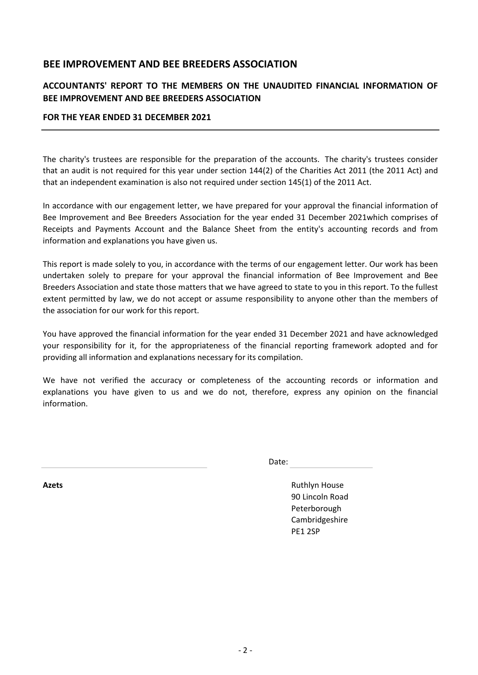# ACCOUNTANTS' REPORT TO THE MEMBERS ON THE UNAUDITED FINANCIAL INFORMATION OF BEE IMPROVEMENT AND BEE BREEDERS ASSOCIATION

### FOR THE YEAR ENDED 31 DECEMBER 2021

The charity's trustees are responsible for the preparation of the accounts. The charity's trustees consider that an audit is not required for this year under section 144(2) of the Charities Act 2011 (the 2011 Act) and that an independent examination is also not required under section 145(1) of the 2011 Act.

In accordance with our engagement letter, we have prepared for your approval the financial information of Bee Improvement and Bee Breeders Association for the year ended 31 December 2021which comprises of Receipts and Payments Account and the Balance Sheet from the entity's accounting records and from information and explanations you have given us.

This report is made solely to you, in accordance with the terms of our engagement letter. Our work has been undertaken solely to prepare for your approval the financial information of Bee Improvement and Bee Breeders Association and state those matters that we have agreed to state to you in this report. To the fullest extent permitted by law, we do not accept or assume responsibility to anyone other than the members of the association for our work for this report.

You have approved the financial information for the year ended 31 December 2021 and have acknowledged your responsibility for it, for the appropriateness of the financial reporting framework adopted and for providing all information and explanations necessary for its compilation.

We have not verified the accuracy or completeness of the accounting records or information and explanations you have given to us and we do not, therefore, express any opinion on the financial information.

Date:

Azets **Axets Azets Axets Axets Axets Axets Axets Axets Axets Axets Axets Axets Axets Axets Axets Axets Axets Axets Axets Axets Axets Axets Axets Axets Axets Axets Axets** 90 Lincoln Road Peterborough Cambridgeshire PE1 2SP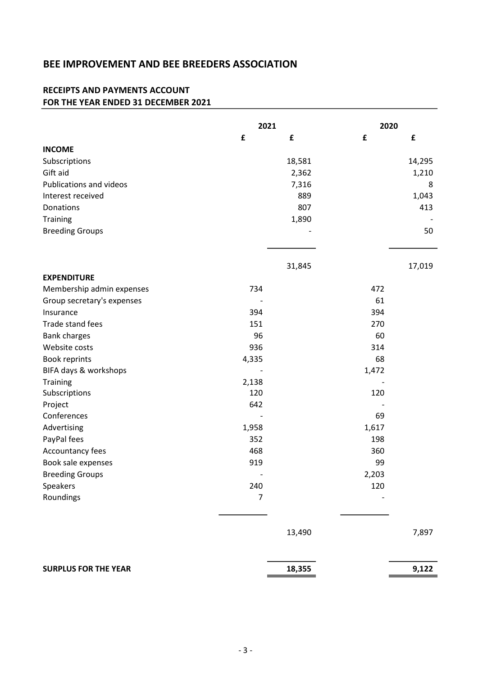## RECEIPTS AND PAYMENTS ACCOUNT FOR THE YEAR ENDED 31 DECEMBER 2021

|                             | 2021           |        | 2020  |        |
|-----------------------------|----------------|--------|-------|--------|
|                             | £              | £      | £     | £      |
| <b>INCOME</b>               |                |        |       |        |
| Subscriptions               |                | 18,581 |       | 14,295 |
| Gift aid                    |                | 2,362  |       | 1,210  |
| Publications and videos     |                | 7,316  |       | 8      |
| Interest received           |                | 889    |       | 1,043  |
| Donations                   |                | 807    |       | 413    |
| Training                    |                | 1,890  |       |        |
| <b>Breeding Groups</b>      |                |        |       | 50     |
|                             |                | 31,845 |       | 17,019 |
| <b>EXPENDITURE</b>          |                |        |       |        |
| Membership admin expenses   | 734            |        | 472   |        |
| Group secretary's expenses  |                |        | 61    |        |
| Insurance                   | 394            |        | 394   |        |
| Trade stand fees            | 151            |        | 270   |        |
| <b>Bank charges</b>         | 96             |        | 60    |        |
| Website costs               | 936            |        | 314   |        |
| Book reprints               | 4,335          |        | 68    |        |
| BIFA days & workshops       |                |        | 1,472 |        |
| Training                    | 2,138          |        |       |        |
| Subscriptions               | 120            |        | 120   |        |
| Project                     | 642            |        |       |        |
| Conferences                 |                |        | 69    |        |
| Advertising                 | 1,958          |        | 1,617 |        |
| PayPal fees                 | 352            |        | 198   |        |
| Accountancy fees            | 468            |        | 360   |        |
| Book sale expenses          | 919            |        | 99    |        |
| <b>Breeding Groups</b>      |                |        | 2,203 |        |
| Speakers                    | 240            |        | 120   |        |
| Roundings                   | $\overline{7}$ |        |       |        |
|                             |                |        |       |        |
|                             |                | 13,490 |       | 7,897  |
| <b>SURPLUS FOR THE YEAR</b> |                | 18,355 |       | 9,122  |